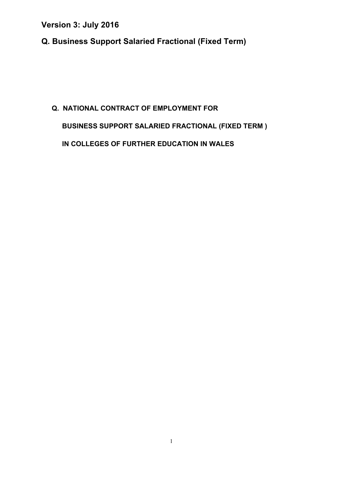**Q. Business Support Salaried Fractional (Fixed Term)** 

# **Q. NATIONAL CONTRACT OF EMPLOYMENT FOR BUSINESS SUPPORT SALARIED FRACTIONAL (FIXED TERM ) IN COLLEGES OF FURTHER EDUCATION IN WALES**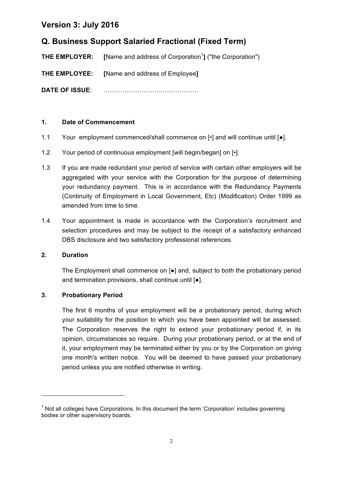# **Q. Business Support Salaried Fractional (Fixed Term)**

**THE EMPLOYER:** [Name and address of Corporation<sup>1</sup>] ("the Corporation")

**THE EMPLOYEE: [**Name and address of Employee**]**

**DATE OF ISSUE**: ………………………………………

#### **1. Date of Commencement**

- 1.1 Your employment commenced/shall commence on [•] and will continue until [●].
- 1.2 Your period of continuous employment [will begin/began] on  $\lceil \cdot \rceil$ .
- 1.3 If you are made redundant your period of service with certain other employers will be aggregated with your service with the Corporation for the purpose of determining your redundancy payment. This is in accordance with the Redundancy Payments (Continuity of Employment in Local Government, Etc) (Modification) Order 1999 as amended from time to time.
- 1.4 Your appointment is made in accordance with the Corporation's recruitment and selection procedures and may be subject to the receipt of a satisfactory enhanced DBS disclosure and two satisfactory professional references.

#### **2. Duration**

The Employment shall commence on [●] and, subject to both the probationary period and termination provisions, shall continue until [●].

#### **3. Probationary Period**

<u> 1989 - Jan Samuel Barbara, margaret e</u>

The first 6 months of your employment will be a probationary period, during which your suitability for the position to which you have been appointed will be assessed. The Corporation reserves the right to extend your probationary period if, in its opinion, circumstances so require. During your probationary period, or at the end of it, your employment may be terminated either by you or by the Corporation on giving one month's written notice. You will be deemed to have passed your probationary period unless you are notified otherwise in writing.

 $<sup>1</sup>$  Not all colleges have Corporations. In this document the term 'Corporation' includes governing</sup> bodies or other supervisory boards.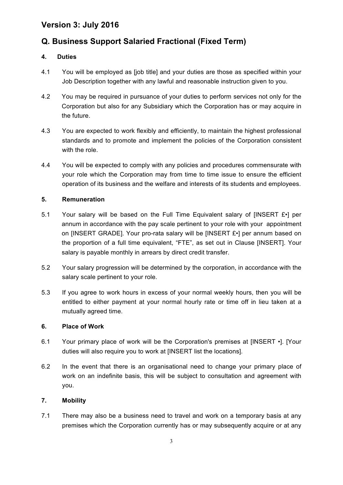# **Q. Business Support Salaried Fractional (Fixed Term)**

#### **4. Duties**

- 4.1 You will be employed as [job title] and your duties are those as specified within your Job Description together with any lawful and reasonable instruction given to you.
- 4.2 You may be required in pursuance of your duties to perform services not only for the Corporation but also for any Subsidiary which the Corporation has or may acquire in the future.
- 4.3 You are expected to work flexibly and efficiently, to maintain the highest professional standards and to promote and implement the policies of the Corporation consistent with the role.
- 4.4 You will be expected to comply with any policies and procedures commensurate with your role which the Corporation may from time to time issue to ensure the efficient operation of its business and the welfare and interests of its students and employees.

#### **5. Remuneration**

- 5.1 Your salary will be based on the Full Time Equivalent salary of [INSERT  $E \cdot$ ] per annum in accordance with the pay scale pertinent to your role with your appointment on [INSERT GRADE]. Your pro-rata salary will be [INSERT £•] per annum based on the proportion of a full time equivalent, "FTE", as set out in Clause [INSERT]. Your salary is payable monthly in arrears by direct credit transfer.
- 5.2 Your salary progression will be determined by the corporation, in accordance with the salary scale pertinent to your role.
- 5.3 If you agree to work hours in excess of your normal weekly hours, then you will be entitled to either payment at your normal hourly rate or time off in lieu taken at a mutually agreed time.

#### **6. Place of Work**

- 6.1 Your primary place of work will be the Corporation's premises at [INSERT •]. [Your duties will also require you to work at [INSERT list the locations].
- 6.2 In the event that there is an organisational need to change your primary place of work on an indefinite basis, this will be subject to consultation and agreement with you.

#### **7. Mobility**

7.1 There may also be a business need to travel and work on a temporary basis at any premises which the Corporation currently has or may subsequently acquire or at any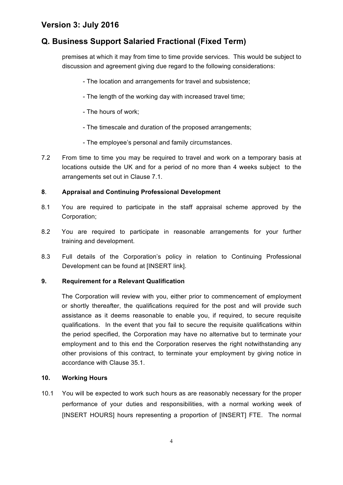# **Q. Business Support Salaried Fractional (Fixed Term)**

premises at which it may from time to time provide services. This would be subject to discussion and agreement giving due regard to the following considerations:

- The location and arrangements for travel and subsistence;
- The length of the working day with increased travel time;
- The hours of work;
- The timescale and duration of the proposed arrangements;
- The employee's personal and family circumstances.
- 7.2 From time to time you may be required to travel and work on a temporary basis at locations outside the UK and for a period of no more than 4 weeks subject to the arrangements set out in Clause 7.1.

#### **8**. **Appraisal and Continuing Professional Development**

- 8.1 You are required to participate in the staff appraisal scheme approved by the Corporation;
- 8.2 You are required to participate in reasonable arrangements for your further training and development.
- 8.3 Full details of the Corporation's policy in relation to Continuing Professional Development can be found at [INSERT link].

#### **9. Requirement for a Relevant Qualification**

The Corporation will review with you, either prior to commencement of employment or shortly thereafter, the qualifications required for the post and will provide such assistance as it deems reasonable to enable you, if required, to secure requisite qualifications. In the event that you fail to secure the requisite qualifications within the period specified, the Corporation may have no alternative but to terminate your employment and to this end the Corporation reserves the right notwithstanding any other provisions of this contract, to terminate your employment by giving notice in accordance with Clause 35.1.

#### **10. Working Hours**

10.1 You will be expected to work such hours as are reasonably necessary for the proper performance of your duties and responsibilities, with a normal working week of [INSERT HOURS] hours representing a proportion of [INSERT] FTE. The normal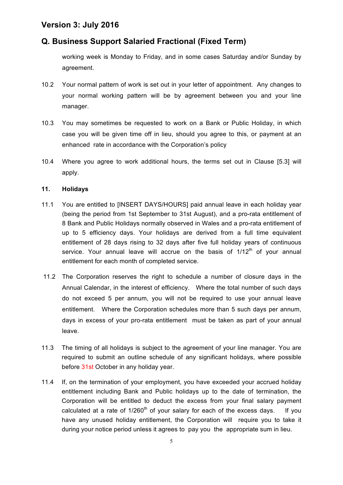# **Q. Business Support Salaried Fractional (Fixed Term)**

working week is Monday to Friday, and in some cases Saturday and/or Sunday by agreement.

- 10.2 Your normal pattern of work is set out in your letter of appointment. Any changes to your normal working pattern will be by agreement between you and your line manager.
- 10.3 You may sometimes be requested to work on a Bank or Public Holiday, in which case you will be given time off in lieu, should you agree to this, or payment at an enhanced rate in accordance with the Corporation's policy
- 10.4 Where you agree to work additional hours, the terms set out in Clause [5.3] will apply.

#### **11. Holidays**

- 11.1 You are entitled to [INSERT DAYS/HOURS] paid annual leave in each holiday year (being the period from 1st September to 31st August), and a pro-rata entitlement of 8 Bank and Public Holidays normally observed in Wales and a pro-rata entitlement of up to 5 efficiency days. Your holidays are derived from a full time equivalent entitlement of 28 days rising to 32 days after five full holiday years of continuous service. Your annual leave will accrue on the basis of  $1/12<sup>th</sup>$  of your annual entitlement for each month of completed service.
- 11.2 The Corporation reserves the right to schedule a number of closure days in the Annual Calendar, in the interest of efficiency. Where the total number of such days do not exceed 5 per annum, you will not be required to use your annual leave entitlement. Where the Corporation schedules more than 5 such days per annum, days in excess of your pro-rata entitlement must be taken as part of your annual leave.
- 11.3 The timing of all holidays is subject to the agreement of your line manager. You are required to submit an outline schedule of any significant holidays, where possible before 31st October in any holiday year.
- 11.4 If, on the termination of your employment, you have exceeded your accrued holiday entitlement including Bank and Public holidays up to the date of termination, the Corporation will be entitled to deduct the excess from your final salary payment calculated at a rate of  $1/260<sup>th</sup>$  of your salary for each of the excess days. If you have any unused holiday entitlement, the Corporation will require you to take it during your notice period unless it agrees to pay you the appropriate sum in lieu.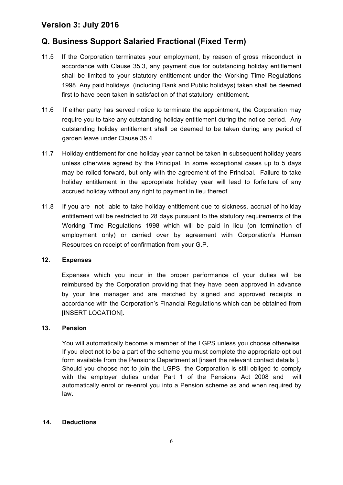# **Q. Business Support Salaried Fractional (Fixed Term)**

- 11.5 If the Corporation terminates your employment, by reason of gross misconduct in accordance with Clause 35.3, any payment due for outstanding holiday entitlement shall be limited to your statutory entitlement under the Working Time Regulations 1998. Any paid holidays (including Bank and Public holidays) taken shall be deemed first to have been taken in satisfaction of that statutory entitlement.
- 11.6 If either party has served notice to terminate the appointment, the Corporation may require you to take any outstanding holiday entitlement during the notice period. Any outstanding holiday entitlement shall be deemed to be taken during any period of garden leave under Clause 35.4
- 11.7 Holiday entitlement for one holiday year cannot be taken in subsequent holiday years unless otherwise agreed by the Principal. In some exceptional cases up to 5 days may be rolled forward, but only with the agreement of the Principal. Failure to take holiday entitlement in the appropriate holiday year will lead to forfeiture of any accrued holiday without any right to payment in lieu thereof*.*
- 11.8 If you are not able to take holiday entitlement due to sickness, accrual of holiday entitlement will be restricted to 28 days pursuant to the statutory requirements of the Working Time Regulations 1998 which will be paid in lieu (on termination of employment only) or carried over by agreement with Corporation's Human Resources on receipt of confirmation from your G.P.

#### **12. Expenses**

Expenses which you incur in the proper performance of your duties will be reimbursed by the Corporation providing that they have been approved in advance by your line manager and are matched by signed and approved receipts in accordance with the Corporation's Financial Regulations which can be obtained from [INSERT LOCATION].

#### **13. Pension**

You will automatically become a member of the LGPS unless you choose otherwise. If you elect not to be a part of the scheme you must complete the appropriate opt out form available from the Pensions Department at [insert the relevant contact details ]. Should you choose not to join the LGPS, the Corporation is still obliged to comply with the employer duties under Part 1 of the Pensions Act 2008 and will automatically enrol or re-enrol you into a Pension scheme as and when required by law.

#### **14. Deductions**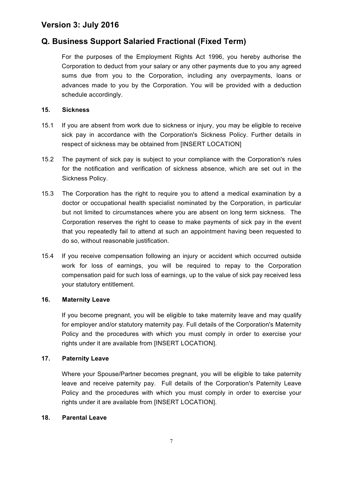# **Q. Business Support Salaried Fractional (Fixed Term)**

For the purposes of the Employment Rights Act 1996, you hereby authorise the Corporation to deduct from your salary or any other payments due to you any agreed sums due from you to the Corporation, including any overpayments, loans or advances made to you by the Corporation. You will be provided with a deduction schedule accordingly.

#### **15. Sickness**

- 15.1 If you are absent from work due to sickness or injury, you may be eligible to receive sick pay in accordance with the Corporation's Sickness Policy. Further details in respect of sickness may be obtained from [INSERT LOCATION]
- 15.2 The payment of sick pay is subject to your compliance with the Corporation's rules for the notification and verification of sickness absence, which are set out in the Sickness Policy.
- 15.3 The Corporation has the right to require you to attend a medical examination by a doctor or occupational health specialist nominated by the Corporation, in particular but not limited to circumstances where you are absent on long term sickness. The Corporation reserves the right to cease to make payments of sick pay in the event that you repeatedly fail to attend at such an appointment having been requested to do so, without reasonable justification.
- 15.4 If you receive compensation following an injury or accident which occurred outside work for loss of earnings, you will be required to repay to the Corporation compensation paid for such loss of earnings, up to the value of sick pay received less your statutory entitlement.

#### **16. Maternity Leave**

If you become pregnant, you will be eligible to take maternity leave and may qualify for employer and/or statutory maternity pay. Full details of the Corporation's Maternity Policy and the procedures with which you must comply in order to exercise your rights under it are available from [INSERT LOCATION].

#### **17. Paternity Leave**

Where your Spouse/Partner becomes pregnant, you will be eligible to take paternity leave and receive paternity pay. Full details of the Corporation's Paternity Leave Policy and the procedures with which you must comply in order to exercise your rights under it are available from [INSERT LOCATION].

#### **18. Parental Leave**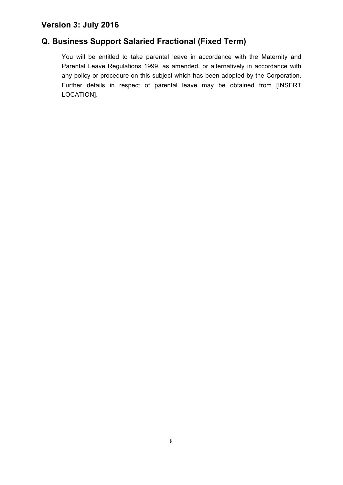# **Q. Business Support Salaried Fractional (Fixed Term)**

You will be entitled to take parental leave in accordance with the Maternity and Parental Leave Regulations 1999, as amended, or alternatively in accordance with any policy or procedure on this subject which has been adopted by the Corporation. Further details in respect of parental leave may be obtained from [INSERT LOCATION].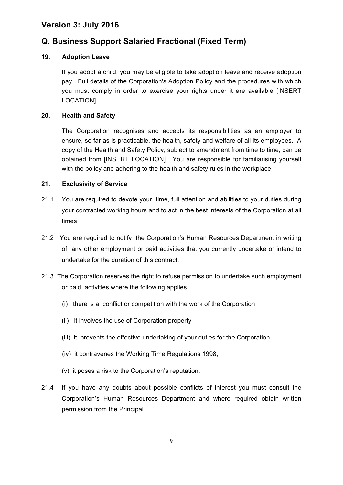# **Q. Business Support Salaried Fractional (Fixed Term)**

#### **19. Adoption Leave**

If you adopt a child, you may be eligible to take adoption leave and receive adoption pay. Full details of the Corporation's Adoption Policy and the procedures with which you must comply in order to exercise your rights under it are available [INSERT LOCATION].

#### **20. Health and Safety**

The Corporation recognises and accepts its responsibilities as an employer to ensure, so far as is practicable, the health, safety and welfare of all its employees. A copy of the Health and Safety Policy, subject to amendment from time to time, can be obtained from [INSERT LOCATION]. You are responsible for familiarising yourself with the policy and adhering to the health and safety rules in the workplace.

#### **21. Exclusivity of Service**

- 21.1 You are required to devote your time, full attention and abilities to your duties during your contracted working hours and to act in the best interests of the Corporation at all times
- 21.2 You are required to notify the Corporation's Human Resources Department in writing of any other employment or paid activities that you currently undertake or intend to undertake for the duration of this contract.
- 21.3 The Corporation reserves the right to refuse permission to undertake such employment or paid activities where the following applies.
	- (i) there is a conflict or competition with the work of the Corporation
	- (ii) it involves the use of Corporation property
	- (iii) it prevents the effective undertaking of your duties for the Corporation
	- (iv) it contravenes the Working Time Regulations 1998;
	- (v) it poses a risk to the Corporation's reputation.
- 21.4 If you have any doubts about possible conflicts of interest you must consult the Corporation's Human Resources Department and where required obtain written permission from the Principal.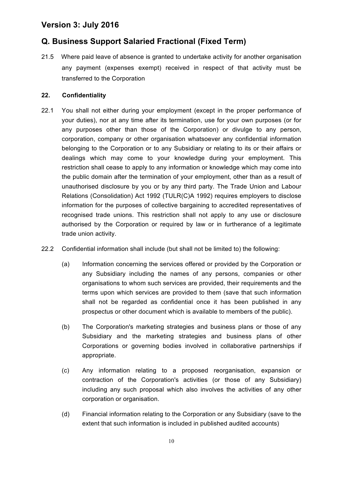# **Q. Business Support Salaried Fractional (Fixed Term)**

21.5 Where paid leave of absence is granted to undertake activity for another organisation any payment (expenses exempt) received in respect of that activity must be transferred to the Corporation

#### **22. Confidentiality**

- 22.1 You shall not either during your employment (except in the proper performance of your duties), nor at any time after its termination, use for your own purposes (or for any purposes other than those of the Corporation) or divulge to any person, corporation, company or other organisation whatsoever any confidential information belonging to the Corporation or to any Subsidiary or relating to its or their affairs or dealings which may come to your knowledge during your employment. This restriction shall cease to apply to any information or knowledge which may come into the public domain after the termination of your employment, other than as a result of unauthorised disclosure by you or by any third party. The Trade Union and Labour Relations (Consolidation) Act 1992 (TULR(C)A 1992) requires employers to disclose information for the purposes of collective bargaining to accredited representatives of recognised trade unions. This restriction shall not apply to any use or disclosure authorised by the Corporation or required by law or in furtherance of a legitimate trade union activity.
- 22.2 Confidential information shall include (but shall not be limited to) the following:
	- (a) Information concerning the services offered or provided by the Corporation or any Subsidiary including the names of any persons, companies or other organisations to whom such services are provided, their requirements and the terms upon which services are provided to them (save that such information shall not be regarded as confidential once it has been published in any prospectus or other document which is available to members of the public).
	- (b) The Corporation's marketing strategies and business plans or those of any Subsidiary and the marketing strategies and business plans of other Corporations or governing bodies involved in collaborative partnerships if appropriate.
	- (c) Any information relating to a proposed reorganisation, expansion or contraction of the Corporation's activities (or those of any Subsidiary) including any such proposal which also involves the activities of any other corporation or organisation.
	- (d) Financial information relating to the Corporation or any Subsidiary (save to the extent that such information is included in published audited accounts)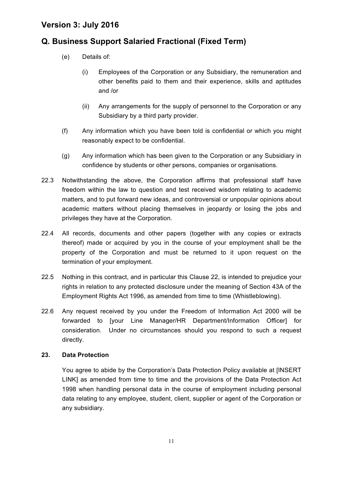# **Q. Business Support Salaried Fractional (Fixed Term)**

- (e) Details of:
	- (i) Employees of the Corporation or any Subsidiary, the remuneration and other benefits paid to them and their experience, skills and aptitudes and /or
	- (ii) Any arrangements for the supply of personnel to the Corporation or any Subsidiary by a third party provider.
- (f) Any information which you have been told is confidential or which you might reasonably expect to be confidential.
- (g) Any information which has been given to the Corporation or any Subsidiary in confidence by students or other persons, companies or organisations.
- 22.3 Notwithstanding the above, the Corporation affirms that professional staff have freedom within the law to question and test received wisdom relating to academic matters, and to put forward new ideas, and controversial or unpopular opinions about academic matters without placing themselves in jeopardy or losing the jobs and privileges they have at the Corporation.
- 22.4 All records, documents and other papers (together with any copies or extracts thereof) made or acquired by you in the course of your employment shall be the property of the Corporation and must be returned to it upon request on the termination of your employment.
- 22.5 Nothing in this contract, and in particular this Clause 22, is intended to prejudice your rights in relation to any protected disclosure under the meaning of Section 43A of the Employment Rights Act 1996, as amended from time to time (Whistleblowing).
- 22.6 Any request received by you under the Freedom of Information Act 2000 will be forwarded to [your Line Manager/HR Department/Information Officer] for consideration. Under no circumstances should you respond to such a request directly.

#### **23. Data Protection**

You agree to abide by the Corporation's Data Protection Policy available at [INSERT LINK] as amended from time to time and the provisions of the Data Protection Act 1998 when handling personal data in the course of employment including personal data relating to any employee, student, client, supplier or agent of the Corporation or any subsidiary.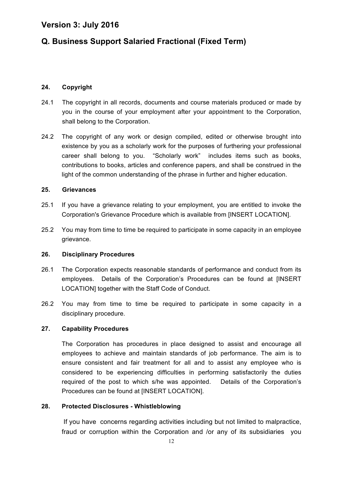# **Q. Business Support Salaried Fractional (Fixed Term)**

#### **24. Copyright**

- 24.1 The copyright in all records, documents and course materials produced or made by you in the course of your employment after your appointment to the Corporation, shall belong to the Corporation.
- 24.2 The copyright of any work or design compiled, edited or otherwise brought into existence by you as a scholarly work for the purposes of furthering your professional career shall belong to you. "Scholarly work" includes items such as books, contributions to books, articles and conference papers, and shall be construed in the light of the common understanding of the phrase in further and higher education.

#### **25. Grievances**

- 25.1 If you have a grievance relating to your employment, you are entitled to invoke the Corporation's Grievance Procedure which is available from [INSERT LOCATION].
- 25.2 You may from time to time be required to participate in some capacity in an employee grievance.

#### **26. Disciplinary Procedures**

- 26.1 The Corporation expects reasonable standards of performance and conduct from its employees. Details of the Corporation's Procedures can be found at [INSERT LOCATION] together with the Staff Code of Conduct.
- 26.2 You may from time to time be required to participate in some capacity in a disciplinary procedure.

#### **27. Capability Procedures**

The Corporation has procedures in place designed to assist and encourage all employees to achieve and maintain standards of job performance. The aim is to ensure consistent and fair treatment for all and to assist any employee who is considered to be experiencing difficulties in performing satisfactorily the duties required of the post to which s/he was appointed. Details of the Corporation's Procedures can be found at [INSERT LOCATION].

#### **28. Protected Disclosures - Whistleblowing**

If you have concerns regarding activities including but not limited to malpractice, fraud or corruption within the Corporation and /or any of its subsidiaries you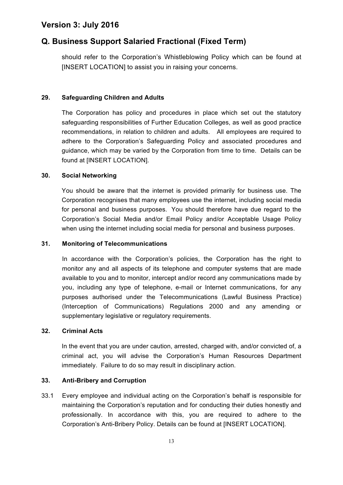# **Q. Business Support Salaried Fractional (Fixed Term)**

should refer to the Corporation's Whistleblowing Policy which can be found at [INSERT LOCATION] to assist you in raising your concerns.

#### **29. Safeguarding Children and Adults**

The Corporation has policy and procedures in place which set out the statutory safeguarding responsibilities of Further Education Colleges, as well as good practice recommendations, in relation to children and adults. All employees are required to adhere to the Corporation's Safeguarding Policy and associated procedures and guidance, which may be varied by the Corporation from time to time. Details can be found at [INSERT LOCATION].

#### **30. Social Networking**

You should be aware that the internet is provided primarily for business use. The Corporation recognises that many employees use the internet, including social media for personal and business purposes. You should therefore have due regard to the Corporation's Social Media and/or Email Policy and/or Acceptable Usage Policy when using the internet including social media for personal and business purposes.

#### **31. Monitoring of Telecommunications**

In accordance with the Corporation's policies, the Corporation has the right to monitor any and all aspects of its telephone and computer systems that are made available to you and to monitor, intercept and/or record any communications made by you, including any type of telephone, e-mail or Internet communications, for any purposes authorised under the Telecommunications (Lawful Business Practice) (Interception of Communications) Regulations 2000 and any amending or supplementary legislative or regulatory requirements.

#### **32. Criminal Acts**

In the event that you are under caution, arrested, charged with, and/or convicted of, a criminal act, you will advise the Corporation's Human Resources Department immediately. Failure to do so may result in disciplinary action.

#### **33. Anti-Bribery and Corruption**

33.1 Every employee and individual acting on the Corporation's behalf is responsible for maintaining the Corporation's reputation and for conducting their duties honestly and professionally. In accordance with this, you are required to adhere to the Corporation's Anti-Bribery Policy. Details can be found at [INSERT LOCATION].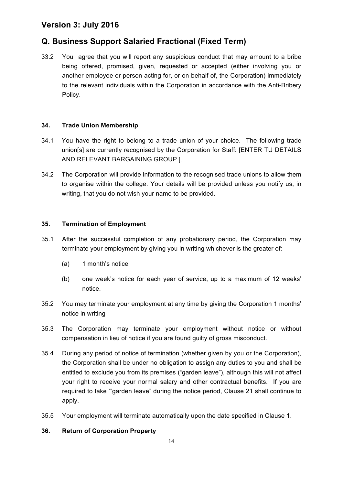# **Q. Business Support Salaried Fractional (Fixed Term)**

33.2 You agree that you will report any suspicious conduct that may amount to a bribe being offered, promised, given, requested or accepted (either involving you or another employee or person acting for, or on behalf of, the Corporation) immediately to the relevant individuals within the Corporation in accordance with the Anti-Bribery Policy.

#### **34. Trade Union Membership**

- 34.1 You have the right to belong to a trade union of your choice. The following trade union[s] are currently recognised by the Corporation for Staff: [ENTER TU DETAILS AND RELEVANT BARGAINING GROUP ].
- 34.2 The Corporation will provide information to the recognised trade unions to allow them to organise within the college. Your details will be provided unless you notify us, in writing, that you do not wish your name to be provided.

#### **35. Termination of Employment**

- 35.1 After the successful completion of any probationary period, the Corporation may terminate your employment by giving you in writing whichever is the greater of:
	- (a) 1 month's notice
	- (b) one week's notice for each year of service, up to a maximum of 12 weeks' notice.
- 35.2 You may terminate your employment at any time by giving the Corporation 1 months' notice in writing
- 35.3 The Corporation may terminate your employment without notice or without compensation in lieu of notice if you are found guilty of gross misconduct.
- 35.4 During any period of notice of termination (whether given by you or the Corporation), the Corporation shall be under no obligation to assign any duties to you and shall be entitled to exclude you from its premises ("garden leave"), although this will not affect your right to receive your normal salary and other contractual benefits. If you are required to take '"garden leave" during the notice period, Clause 21 shall continue to apply.
- 35.5 Your employment will terminate automatically upon the date specified in Clause 1.

#### **36. Return of Corporation Property**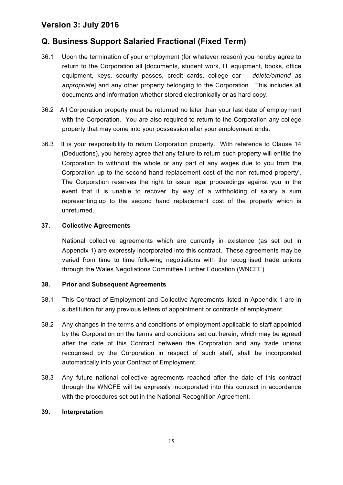# **Q. Business Support Salaried Fractional (Fixed Term)**

- 36.1 Upon the termination of your employment (for whatever reason) you hereby agree to return to the Corporation all [documents, student work, IT equipment, books, office equipment, keys, security passes, credit cards, college car *– delete/amend as appropriate*] and any other property belonging to the Corporation. This includes all documents and information whether stored electronically or as hard copy.
- 36.2 All Corporation property must be returned no later than your last date of employment with the Corporation. You are also required to return to the Corporation any college property that may come into your possession after your employment ends.
- 36.3 It is your responsibility to return Corporation property. With reference to Clause 14 (Deductions), you hereby agree that any failure to return such property will entitle the Corporation to withhold the whole or any part of any wages due to you from the Corporation up to the second hand replacement cost of the non-returned property'. The Corporation reserves the right to issue legal proceedings against you in the event that it is unable to recover, by way of a withholding of salary a sum representing up to the second hand replacement cost of the property which is unreturned.

#### **37. Collective Agreements**

National collective agreements which are currently in existence (as set out in Appendix 1) are expressly incorporated into this contract. These agreements may be varied from time to time following negotiations with the recognised trade unions through the Wales Negotiations Committee Further Education (WNCFE).

#### **38. Prior and Subsequent Agreements**

- 38.1 This Contract of Employment and Collective Agreements listed in Appendix 1 are in substitution for any previous letters of appointment or contracts of employment.
- 38.2 Any changes in the terms and conditions of employment applicable to staff appointed by the Corporation on the terms and conditions set out herein, which may be agreed after the date of this Contract between the Corporation and any trade unions recognised by the Corporation in respect of such staff, shall be incorporated automatically into your Contract of Employment.
- 38.3 Any future national collective agreements reached after the date of this contract through the WNCFE will be expressly incorporated into this contract in accordance with the procedures set out in the National Recognition Agreement.

#### **39. Interpretation**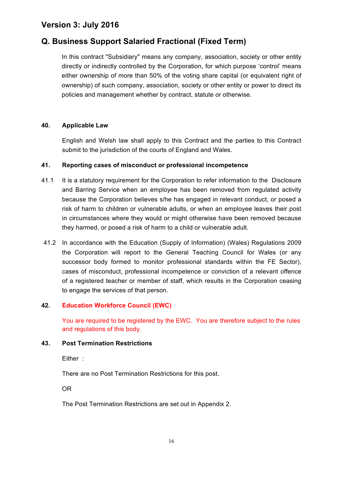# **Q. Business Support Salaried Fractional (Fixed Term)**

In this contract "Subsidiary" means any company, association, society or other entity directly or indirectly controlled by the Corporation, for which purpose 'control' means either ownership of more than 50% of the voting share capital (or equivalent right of ownership) of such company, association, society or other entity or power to direct its policies and management whether by contract, statute or otherwise.

#### **40. Applicable Law**

English and Welsh law shall apply to this Contract and the parties to this Contract submit to the jurisdiction of the courts of England and Wales.

#### **41. Reporting cases of misconduct or professional incompetence**

- 41.1 It is a statutory requirement for the Corporation to refer information to the Disclosure and Barring Service when an employee has been removed from regulated activity because the Corporation believes s/he has engaged in relevant conduct, or posed a risk of harm to children or vulnerable adults, or when an employee leaves their post in circumstances where they would or might otherwise have been removed because they harmed, or posed a risk of harm to a child or vulnerable adult.
- 41.2 In accordance with the Education (Supply of Information) (Wales) Regulations 2009 the Corporation will report to the General Teaching Council for Wales (or any successor body formed to monitor professional standards within the FE Sector), cases of misconduct, professional incompetence or conviction of a relevant offence of a registered teacher or member of staff, which results in the Corporation ceasing to engage the services of that person.

#### **42. Education Workforce Council (EWC)**

You are required to be registered by the EWC. You are therefore subject to the rules and regulations of this body.

#### **43. Post Termination Restrictions**

Either :

There are no Post Termination Restrictions for this post.

OR

The Post Termination Restrictions are set out in Appendix 2.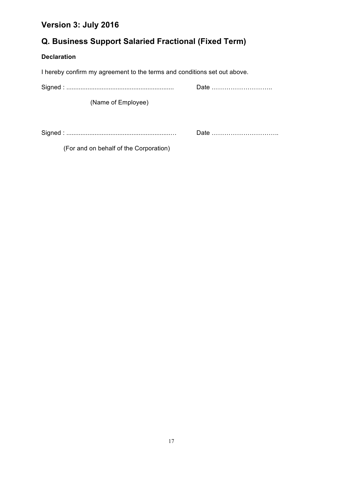# **Q. Business Support Salaried Fractional (Fixed Term)**

#### **Declaration**

I hereby confirm my agreement to the terms and conditions set out above.

(Name of Employee)

Signed : ...........................................................… Date …………………………..

(For and on behalf of the Corporation)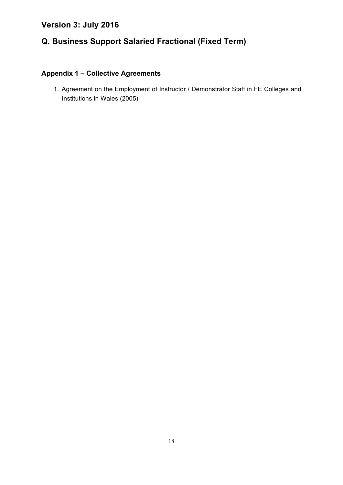# **Q. Business Support Salaried Fractional (Fixed Term)**

# **Appendix 1 – Collective Agreements**

1. Agreement on the Employment of Instructor / Demonstrator Staff in FE Colleges and Institutions in Wales (2005)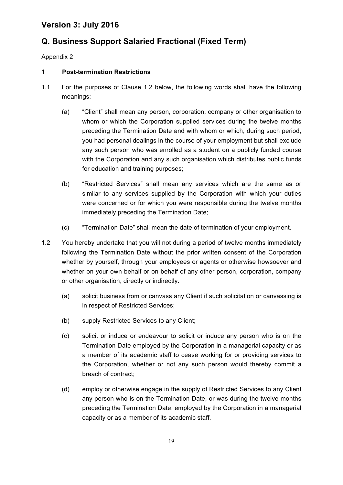# **Q. Business Support Salaried Fractional (Fixed Term)**

Appendix 2

#### **1 Post-termination Restrictions**

- 1.1 For the purposes of Clause 1.2 below, the following words shall have the following meanings:
	- (a) "Client" shall mean any person, corporation, company or other organisation to whom or which the Corporation supplied services during the twelve months preceding the Termination Date and with whom or which, during such period, you had personal dealings in the course of your employment but shall exclude any such person who was enrolled as a student on a publicly funded course with the Corporation and any such organisation which distributes public funds for education and training purposes;
	- (b) "Restricted Services" shall mean any services which are the same as or similar to any services supplied by the Corporation with which your duties were concerned or for which you were responsible during the twelve months immediately preceding the Termination Date;
	- (c) "Termination Date" shall mean the date of termination of your employment.
- 1.2 You hereby undertake that you will not during a period of twelve months immediately following the Termination Date without the prior written consent of the Corporation whether by yourself, through your employees or agents or otherwise howsoever and whether on your own behalf or on behalf of any other person, corporation, company or other organisation, directly or indirectly:
	- (a) solicit business from or canvass any Client if such solicitation or canvassing is in respect of Restricted Services;
	- (b) supply Restricted Services to any Client;
	- (c) solicit or induce or endeavour to solicit or induce any person who is on the Termination Date employed by the Corporation in a managerial capacity or as a member of its academic staff to cease working for or providing services to the Corporation, whether or not any such person would thereby commit a breach of contract;
	- (d) employ or otherwise engage in the supply of Restricted Services to any Client any person who is on the Termination Date, or was during the twelve months preceding the Termination Date, employed by the Corporation in a managerial capacity or as a member of its academic staff.